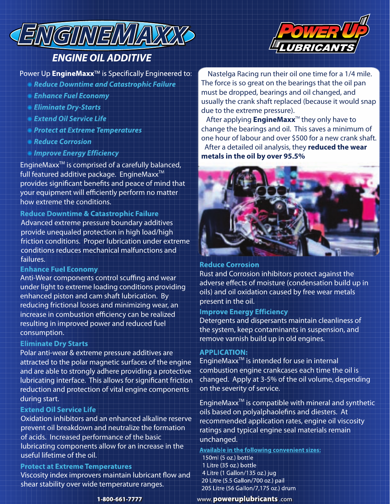

# **ENGINE OIL ADDITIVE**

Power Up EngineMaxx<sup>™</sup> is Specifically Engineered to:

- **Reduce Downtime and Catastrophic Failure**
- **Enhance Fuel Economy**
- **Eliminate Dry-Starts**
- **Extend Oil Service Life**
- **Protect at Extreme Temperatures**
- Reduce Corrosion
- **Improve Energy Efficiency**

EngineMax $x^{TM}$  is comprised of a carefully balanced, full featured additive package. EngineMaxx<sup>™</sup> provides significant benefits and peace of mind that your equipment will efficiently perform no matter how extreme the conditions.

### **Reduce Downtime & Catastrophic Failure**

Advanced extreme pressure boundary additives provide unequaled protection in high load/high friction conditions. Proper lubrication under extreme conditions reduces mechanical malfunctions and failures.

#### **Enhance Fuel Economy**

Anti-Wear components control scuffing and wear under light to extreme loading conditions providing enhanced piston and cam shaft lubrication. By reducing frictional losses and minimizing wear, an increase in combustion efficiency can be realized resulting in improved power and reduced fuel consumption.

#### **Eliminate Dry Starts**

Polar anti-wear & extreme pressure additives are attracted to the polar magnetic surfaces of the engine and are able to strongly adhere providing a protective lubricating interface. This allows for significant friction reduction and protection of vital engine components during start.

#### **Extend Oil Service Life**

Oxidation inhibitors and an enhanced alkaline reserve prevent oil breakdown and neutralize the formation of acids. Increased performance of the basic lubricating components allow for an increase in the useful lifetime of the oil.

#### **Protect at Extreme Temperatures**

Viscosity index improvers maintain lubricant flow and shear stability over wide temperature ranges.



 Nastelga Racing run their oil one time for a 1/4 mile. The force is so great on the bearings that the oil pan must be dropped, bearings and oil changed, and usually the crank shaft replaced (because it would snap due to the extreme pressure).

After applying **EngineMaxx**<sup>™</sup> they only have to change the bearings and oil. This saves a minimum of one hour of labour and over \$500 for a new crank shaft. After a detailed oil analysis, they **reduced the wear metals in the oil by over 95.5%**



#### **Reduce Corrosion**

Rust and Corrosion inhibitors protect against the adverse effects of moisture (condensation build up in oils) and oil oxidation caused by free wear metals present in the oil.

### **Improve Energy Efficiency**

Detergents and dispersants maintain cleanliness of the system, keep contaminants in suspension, and remove varnish build up in old engines.

#### **APPLICATION:**

EngineMax $x^{TM}$  is intended for use in internal combustion engine crankcases each time the oil is changed. Apply at 3-5% of the oil volume, depending on the severity of service.

EngineMax $x^{TM}$  is compatible with mineral and synthetic oils based on polyalphaolefins and diesters. At recommended application rates, engine oil viscosity ratings and typical engine seal materials remain unchanged.

**Available in the following convenient sizes:** 150ml (5 oz.) bottle 1 Litre (35 oz.) bottle 4 Litre (1 Gallon/135 oz.) jug 20 Litre (5.5 Gallon/700 oz.) pail 205 Litre (56 Gallon/7,175 oz.) drum

www.poweruplubricants.com